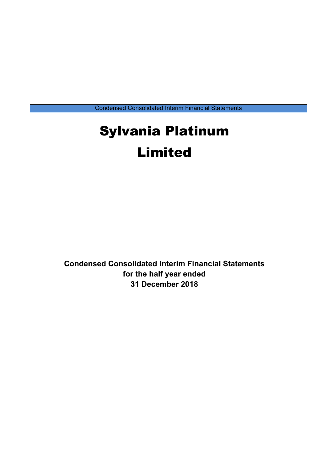Condensed Consolidated Interim Financial Statements

# Sylvania Platinum Limited

**Condensed Consolidated Interim Financial Statements for the half year ended 31 December 2018**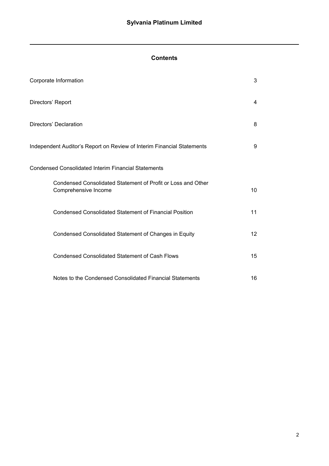# **Contents**

| Corporate Information                                                                | 3               |
|--------------------------------------------------------------------------------------|-----------------|
| Directors' Report                                                                    | 4               |
| Directors' Declaration                                                               | 8               |
| Independent Auditor's Report on Review of Interim Financial Statements               | 9               |
| <b>Condensed Consolidated Interim Financial Statements</b>                           |                 |
| Condensed Consolidated Statement of Profit or Loss and Other<br>Comprehensive Income | 10              |
| <b>Condensed Consolidated Statement of Financial Position</b>                        | 11              |
| Condensed Consolidated Statement of Changes in Equity                                | 12 <sup>2</sup> |
| <b>Condensed Consolidated Statement of Cash Flows</b>                                | 15              |
| Notes to the Condensed Consolidated Financial Statements                             | 16              |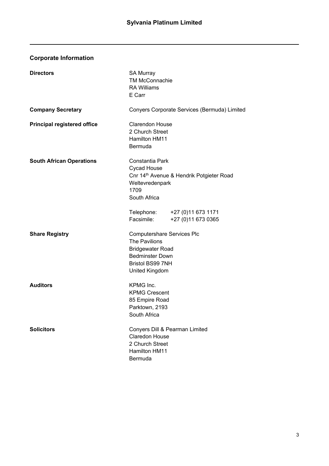# **Corporate Information**

| <b>Directors</b>                   | <b>SA Murray</b><br><b>TM McConnachie</b><br><b>RA Williams</b><br>E Carr                                                                                   |                                                      |
|------------------------------------|-------------------------------------------------------------------------------------------------------------------------------------------------------------|------------------------------------------------------|
| <b>Company Secretary</b>           |                                                                                                                                                             | Conyers Corporate Services (Bermuda) Limited         |
| <b>Principal registered office</b> | <b>Clarendon House</b><br>2 Church Street<br>Hamilton HM11<br>Bermuda                                                                                       |                                                      |
| <b>South African Operations</b>    | Constantia Park<br><b>Cycad House</b><br>Weltevredenpark<br>1709<br>South Africa                                                                            | Cnr 14 <sup>th</sup> Avenue & Hendrik Potgieter Road |
|                                    | Facsimile:                                                                                                                                                  | Telephone: +27 (0)11 673 1171<br>+27 (0)11 673 0365  |
| <b>Share Registry</b>              | <b>Computershare Services Plc</b><br>The Pavilions<br><b>Bridgewater Road</b><br><b>Bedminster Down</b><br><b>Bristol BS99 7NH</b><br><b>United Kingdom</b> |                                                      |
| <b>Auditors</b>                    | KPMG Inc.<br><b>KPMG Crescent</b><br>85 Empire Road<br>Parktown, 2193<br>South Africa                                                                       |                                                      |
| <b>Solicitors</b>                  | Conyers Dill & Pearman Limited<br><b>Claredon House</b><br>2 Church Street<br>Hamilton HM11<br><b>Bermuda</b>                                               |                                                      |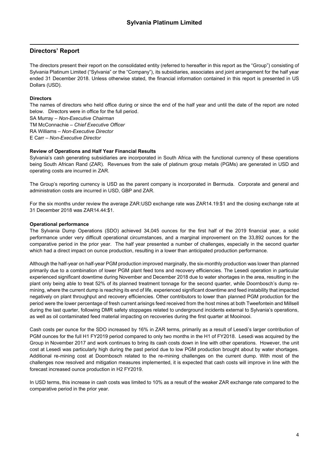### **Directors' Report**

The directors present their report on the consolidated entity (referred to hereafter in this report as the "Group") consisting of Sylvania Platinum Limited ("Sylvania" or the "Company"), its subsidiaries, associates and joint arrangement for the half year ended 31 December 2018. Unless otherwise stated, the financial information contained in this report is presented in US Dollars (USD).

### **Directors**

The names of directors who held office during or since the end of the half year and until the date of the report are noted below. Directors were in office for the full period.

SA Murray – *Non-Executive Chairman* TM McConnachie – *Chief Executive Officer* RA Williams – *Non-Executive Director* E Carr – *Non-Executive Director* 

#### **Review of Operations and Half Year Financial Results**

Sylvania's cash generating subsidiaries are incorporated in South Africa with the functional currency of these operations being South African Rand (ZAR). Revenues from the sale of platinum group metals (PGMs) are generated in USD and operating costs are incurred in ZAR.

The Group's reporting currency is USD as the parent company is incorporated in Bermuda. Corporate and general and administration costs are incurred in USD, GBP and ZAR.

For the six months under review the average ZAR:USD exchange rate was ZAR14.19:\$1 and the closing exchange rate at 31 December 2018 was ZAR14.44:\$1.

#### **Operational performance**

The Sylvania Dump Operations (SDO) achieved 34,045 ounces for the first half of the 2019 financial year, a solid performance under very difficult operational circumstances, and a marginal improvement on the 33,892 ounces for the comparative period in the prior year. The half year presented a number of challenges, especially in the second quarter which had a direct impact on ounce production, resulting in a lower than anticipated production performance.

Although the half-year on half-year PGM production improved marginally, the six-monthly production was lower than planned primarily due to a combination of lower PGM plant feed tons and recovery efficiencies. The Lesedi operation in particular experienced significant downtime during November and December 2018 due to water shortages in the area, resulting in the plant only being able to treat 52% of its planned treatment tonnage for the second quarter, while Doornbosch's dump remining, where the current dump is reaching its end of life, experienced significant downtime and feed instability that impacted negatively on plant throughput and recovery efficiencies. Other contributors to lower than planned PGM production for the period were the lower percentage of fresh current arisings feed received from the host mines at both Tweefontein and Millsell during the last quarter, following DMR safety stoppages related to underground incidents external to Sylvania's operations, as well as oil contaminated feed material impacting on recoveries during the first quarter at Mooinooi.

Cash costs per ounce for the SDO increased by 16% in ZAR terms, primarily as a result of Lesedi's larger contribution of PGM ounces for the full H1 FY2019 period compared to only two months in the H1 of FY2018. Lesedi was acquired by the Group in November 2017 and work continues to bring its cash costs down in line with other operations. However, the unit cost at Lesedi was particularly high during the past period due to low PGM production brought about by water shortages. Additional re-mining cost at Doornbosch related to the re-mining challenges on the current dump. With most of the challenges now resolved and mitigation measures implemented, it is expected that cash costs will improve in line with the forecast increased ounce production in H2 FY2019.

In USD terms, this increase in cash costs was limited to 10% as a result of the weaker ZAR exchange rate compared to the comparative period in the prior year.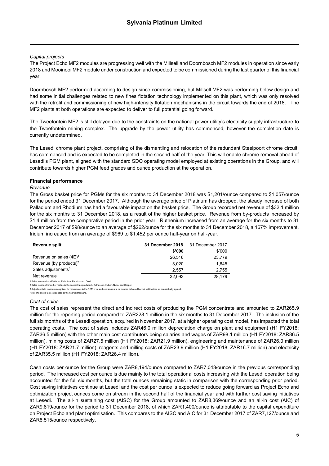#### *Capital projects*

The Project Echo MF2 modules are progressing well with the Millsell and Doornbosch MF2 modules in operation since early 2018 and Mooinooi MF2 module under construction and expected to be commissioned during the last quarter of this financial year.

Doornbosch MF2 performed according to design since commissioning, but Millsell MF2 was performing below design and had some initial challenges related to new fines flotation technology implemented on this plant, which was only resolved with the retrofit and commissioning of new high-intensity flotation mechanisms in the circuit towards the end of 2018. The MF2 plants at both operations are expected to deliver to full potential going forward.

The Tweefontein MF2 is still delayed due to the constraints on the national power utility's electricity supply infrastructure to the Tweefontein mining complex. The upgrade by the power utility has commenced, however the completion date is currently undetermined.

The Lesedi chrome plant project, comprising of the dismantling and relocation of the redundant Steelpoort chrome circuit, has commenced and is expected to be completed in the second half of the year. This will enable chrome removal ahead of Lesedi's PGM plant, aligned with the standard SDO operating model employed at existing operations in the Group, and will contribute towards higher PGM feed grades and ounce production at the operation.

#### **Financial performance**

#### *Revenue*

The Gross basket price for PGMs for the six months to 31 December 2018 was \$1,201/ounce compared to \$1,057/ounce for the period ended 31 December 2017. Although the average price of Platinum has dropped, the steady increase of both Palladium and Rhodium has had a favourable impact on the basket price. The Group recorded net revenue of \$32.1 million for the six months to 31 December 2018, as a result of the higher basket price. Revenue from by-products increased by \$1.4 million from the comparative period in the prior year. Ruthenium increased from an average for the six months to 31 December 2017 of \$98/ounce to an average of \$262/ounce for the six months to 31 December 2018, a 167% improvement. Iridium increased from an average of \$969 to \$1,452 per ounce half-year on half-year.

| Revenue split                                             | 31 December 2018 | 31 December 2017 |
|-----------------------------------------------------------|------------------|------------------|
|                                                           | \$'000           | \$'000           |
| Revenue on sales $(4E)^1$                                 | 26.516           | 23,779           |
| Revenue (by products) <sup>2</sup>                        | 3.020            | 1.645            |
| Sales adjustments $3$                                     | 2.557            | 2.755            |
| Net revenue                                               | 32.093           | 28.179           |
| Colon royanus from Diotinum, Dollodium, Dhodium and Cold. |                  |                  |

1 Sales revenue from Platinum, Palladium, Rhodium and Gold. 2 Sales revenue from other metals in the concentrate produced - Ruthenium, Iridium, Nickel and Copper.

nts to revenue recognised for movements in the PGM price and exchange rate on ounces delivered but not yet invoiced as contractually agreed.

Note: The above table is rounded to the nearest thousand.

#### *Cost of sales*

The cost of sales represent the direct and indirect costs of producing the PGM concentrate and amounted to ZAR265.9 million for the reporting period compared to ZAR228.1 million in the six months to 31 December 2017. The inclusion of the full six months of the Lesedi operation, acquired in November 2017, at a higher operating cost model, has impacted the total operating costs. The cost of sales includes ZAR46.0 million depreciation charge on plant and equipment (H1 FY2018: ZAR36.5 million) with the other main cost contributors being salaries and wages of ZAR98.1 million (H1 FY2018: ZAR86.5 million), mining costs of ZAR27.5 million (H1 FY2018: ZAR21.9 million), engineering and maintenance of ZAR26.0 million (H1 FY2018: ZAR21.7 million), reagents and milling costs of ZAR23.9 million (H1 FY2018: ZAR16.7 million) and electricity of ZAR35.5 million (H1 FY2018: ZAR26.4 million).

Cash costs per ounce for the Group were ZAR8,194/ounce compared to ZAR7,043/ounce in the previous corresponding period. The increased cost per ounce is due mainly to the total operational costs increasing with the Lesedi operation being accounted for the full six months, but the total ounces remaining static in comparison with the corresponding prior period. Cost saving initiatives continue at Lesedi and the cost per ounce is expected to reduce going forward as Project Echo and optimization project ounces come on stream in the second half of the financial year and with further cost saving initiatives at Lesedi. The all-in sustaining cost (AISC) for the Group amounted to ZAR8,369/ounce and an all-in cost (AIC) of ZAR9,819/ounce for the period to 31 December 2018, of which ZAR1,400/ounce is attributable to the capital expenditure on Project Echo and plant optimisation. This compares to the AISC and AIC for 31 December 2017 of ZAR7,127/ounce and ZAR8,515/ounce respectively.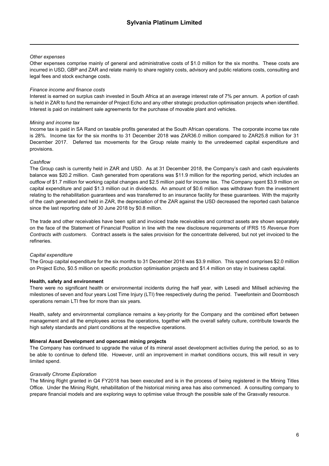#### *Other expenses*

Other expenses comprise mainly of general and administrative costs of \$1.0 million for the six months. These costs are incurred in USD, GBP and ZAR and relate mainly to share registry costs, advisory and public relations costs, consulting and legal fees and stock exchange costs.

#### *Finance income and finance costs*

Interest is earned on surplus cash invested in South Africa at an average interest rate of 7% per annum. A portion of cash is held in ZAR to fund the remainder of Project Echo and any other strategic production optimisation projects when identified. Interest is paid on instalment sale agreements for the purchase of movable plant and vehicles.

#### *Mining and income tax*

Income tax is paid in SA Rand on taxable profits generated at the South African operations. The corporate income tax rate is 28%. Income tax for the six months to 31 December 2018 was ZAR36.0 million compared to ZAR25.8 million for 31 December 2017. Deferred tax movements for the Group relate mainly to the unredeemed capital expenditure and provisions.

#### *Cashflow*

The Group cash is currently held in ZAR and USD. As at 31 December 2018, the Company's cash and cash equivalents balance was \$20.2 million. Cash generated from operations was \$11.9 million for the reporting period, which includes an outflow of \$1.7 million for working capital changes and \$2.5 million paid for income tax. The Company spent \$3.9 million on capital expenditure and paid \$1.3 million out in dividends. An amount of \$0.6 million was withdrawn from the investment relating to the rehabilitation guarantees and was transferred to an insurance facility for these guarantees. With the majority of the cash generated and held in ZAR, the depreciation of the ZAR against the USD decreased the reported cash balance since the last reporting date of 30 June 2018 by \$0.8 million.

The trade and other receivables have been split and invoiced trade receivables and contract assets are shown separately on the face of the Statement of Financial Position in line with the new disclosure requirements of IFRS 15 *Revenue from Contracts with customers*. Contract assets is the sales provision for the concentrate delivered, but not yet invoiced to the refineries.

#### *Capital expenditure*

The Group capital expenditure for the six months to 31 December 2018 was \$3.9 million. This spend comprises \$2.0 million on Project Echo, \$0.5 million on specific production optimisation projects and \$1.4 million on stay in business capital.

#### **Health, safety and environment**

There were no significant health or environmental incidents during the half year, with Lesedi and Millsell achieving the milestones of seven and four years Lost Time Injury (LTI) free respectively during the period. Tweefontein and Doornbosch operations remain LTI free for more than six years.

Health, safety and environmental compliance remains a key-priority for the Company and the combined effort between management and all the employees across the operations, together with the overall safety culture, contribute towards the high safety standards and plant conditions at the respective operations.

#### **Mineral Asset Development and opencast mining projects**

The Company has continued to upgrade the value of its mineral asset development activities during the period, so as to be able to continue to defend title. However, until an improvement in market conditions occurs, this will result in very limited spend.

#### *Grasvally Chrome Exploration*

The Mining Right granted in Q4 FY2018 has been executed and is in the process of being registered in the Mining Titles Office. Under the Mining Right, rehabilitation of the historical mining area has also commenced. A consulting company to prepare financial models and are exploring ways to optimise value through the possible sale of the Grasvally resource.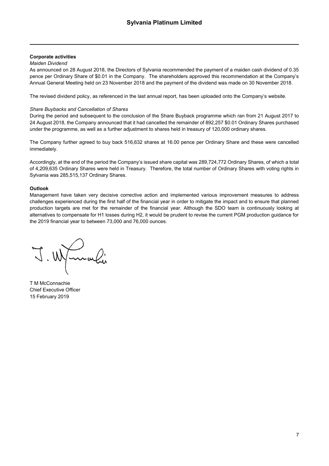#### **Corporate activities**

#### *Maiden Dividend*

As announced on 28 August 2018, the Directors of Sylvania recommended the payment of a maiden cash dividend of 0.35 pence per Ordinary Share of \$0.01 in the Company. The shareholders approved this recommendation at the Company's Annual General Meeting held on 23 November 2018 and the payment of the dividend was made on 30 November 2018.

The revised dividend policy, as referenced in the last annual report, has been uploaded onto the Company's website.

#### *Share Buybacks and Cancellation of Shares*

During the period and subsequent to the conclusion of the Share Buyback programme which ran from 21 August 2017 to 24 August 2018, the Company announced that it had cancelled the remainder of 892,257 \$0.01 Ordinary Shares purchased under the programme, as well as a further adjustment to shares held in treasury of 120,000 ordinary shares.

The Company further agreed to buy back 516,632 shares at 16.00 pence per Ordinary Share and these were cancelled immediately.

Accordingly, at the end of the period the Company's issued share capital was 289,724,772 Ordinary Shares, of which a total of 4,209,635 Ordinary Shares were held in Treasury. Therefore, the total number of Ordinary Shares with voting rights in Sylvania was 285,515,137 Ordinary Shares.

#### **Outlook**

Management have taken very decisive corrective action and implemented various improvement measures to address challenges experienced during the first half of the financial year in order to mitigate the impact and to ensure that planned production targets are met for the remainder of the financial year. Although the SDO team is continuously looking at alternatives to compensate for H1 losses during H2, it would be prudent to revise the current PGM production guidance for the 2019 financial year to between 73,000 and 76,000 ounces.

J. Wymaki

T M McConnachie Chief Executive Officer 15 February 2019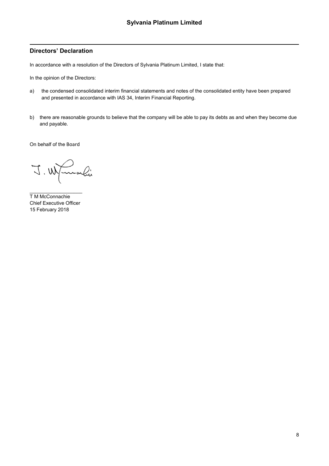### **Directors' Declaration**

In accordance with a resolution of the Directors of Sylvania Platinum Limited, I state that:

In the opinion of the Directors:

- a) the condensed consolidated interim financial statements and notes of the consolidated entity have been prepared and presented in accordance with IAS 34, Interim Financial Reporting.
- b) there are reasonable grounds to believe that the company will be able to pay its debts as and when they become due and payable.

On behalf of the Board

J. W mali

 $\_$ T M McConnachie Chief Executive Officer 15 February 2018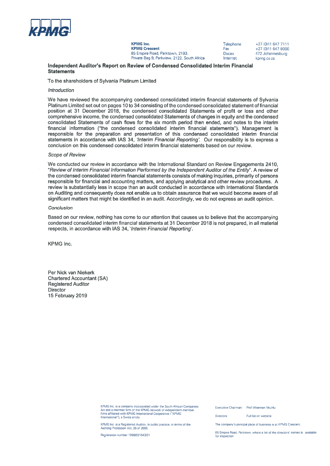

**KPMG Inc. KPMG Crescent** 85 Empire Road, Parktown, 2193. Private Bag 9, Parkview, 2122, South Africa Telephone Fax: Docex Internet

+27 (0) 11 647 7111  $+27(0)116478000$ 472 Johannesburg kpmg.co.za

Independent Auditor's Report on Review of Condensed Consolidated Interim Financial **Statements** 

To the shareholders of Sylvania Platinum Limited

#### Introduction

We have reviewed the accompanying condensed consolidated interim financial statements of Sylvania Platinum Limited set out on pages 10 to 34 consisting of the condensed consolidated statement of financial position at 31 December 2018, the condensed consolidated Statements of profit or loss and other comprehensive income, the condensed consolidated Statements of changes in equity and the condensed consolidated Statements of cash flows for the six month period then ended, and notes to the interim financial information ("the condensed consolidated interim financial statements"). Management is responsible for the preparation and presentation of this condensed consolidated interim financial statements in accordance with IAS 34, 'Interim Financial Reporting'. Our responsibility is to express a conclusion on this condensed consolidated interim financial statements based on our review.

#### Scope of Review

We conducted our review in accordance with the International Standard on Review Engagements 2410, "Review of Interim Financial Information Performed by the Independent Auditor of the Entity". A review of the condensed consolidated interim financial statements consists of making inquiries, primarily of persons responsible for financial and accounting matters, and applying analytical and other review procedures. A review is substantially less in scope than an audit conducted in accordance with International Standards on Auditing and consequently does not enable us to obtain assurance that we would become aware of all significant matters that might be identified in an audit. Accordingly, we do not express an audit opinion.

#### Conclusion

Based on our review, nothing has come to our attention that causes us to believe that the accompanying condensed consolidated interim financial statements at 31 December 2018 is not prepared, in all material respects, in accordance with IAS 34, 'Interim Financial Reporting'.

KPMG Inc.

Per Nick van Niekerk **Chartered Accountant (SA) Registered Auditor** Director 15 February 2019

> KPMG Inc, is a company incorporated under the South African Companies<br>Act and a member firm of the KPMG network of independent member<br>firms affiliated with KPMG International Cooperative ("KPMG International") a Swiss entity

KPMG Inc. is a Registered Auditor, in public practice, in terms of the Auditing Profession Act, 26 of 2005

Registration number 1999/021543/21

Executive Chairman Prof Wiseman Nkuhlu

Full list on website **Directors** 

The company's principal place of business is at KPMG Crescent.

85 Empire Road. Parktown, where a list of the directors' names is available for inspection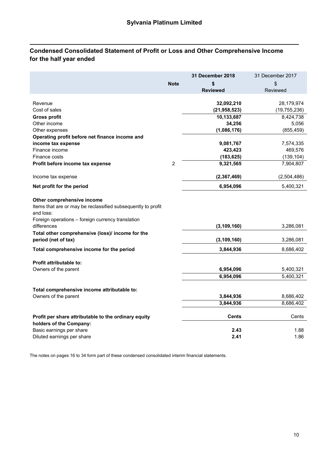# **Condensed Consolidated Statement of Profit or Loss and Other Comprehensive Income for the half year ended**

|                                                                                                                                                              |                | 31 December 2018 | 31 December 2017       |
|--------------------------------------------------------------------------------------------------------------------------------------------------------------|----------------|------------------|------------------------|
|                                                                                                                                                              | <b>Note</b>    | \$               | \$                     |
|                                                                                                                                                              |                | <b>Reviewed</b>  | Reviewed               |
|                                                                                                                                                              |                |                  |                        |
| Revenue                                                                                                                                                      |                | 32,092,210       | 28,179,974             |
| Cost of sales                                                                                                                                                |                | (21, 958, 523)   | (19, 755, 236)         |
| <b>Gross profit</b>                                                                                                                                          |                | 10,133,687       | 8,424,738              |
| Other income                                                                                                                                                 |                | 34,256           | 5,056                  |
| Other expenses                                                                                                                                               |                | (1,086,176)      | (855, 459)             |
| Operating profit before net finance income and                                                                                                               |                |                  |                        |
| income tax expense                                                                                                                                           |                | 9,081,767        | 7,574,335              |
| Finance income                                                                                                                                               |                | 423,423          | 469,576                |
| Finance costs                                                                                                                                                |                | (183, 625)       | (139, 104)             |
| Profit before income tax expense                                                                                                                             | $\overline{2}$ | 9,321,565        | 7,904,807              |
| Income tax expense                                                                                                                                           |                | (2, 367, 469)    | (2,504,486)            |
| Net profit for the period                                                                                                                                    |                | 6,954,096        | 5,400,321              |
| Other comprehensive income<br>Items that are or may be reclassified subsequently to profit<br>and loss:<br>Foreign operations - foreign currency translation |                |                  |                        |
| differences                                                                                                                                                  |                | (3, 109, 160)    | 3,286,081              |
| Total other comprehensive (loss)/ income for the<br>period (net of tax)                                                                                      |                | (3, 109, 160)    | 3,286,081              |
| Total comprehensive income for the period                                                                                                                    |                | 3,844,936        | 8,686,402              |
| <b>Profit attributable to:</b>                                                                                                                               |                |                  |                        |
| Owners of the parent                                                                                                                                         |                | 6,954,096        | 5,400,321              |
|                                                                                                                                                              |                | 6,954,096        | $\overline{5,400,321}$ |
| Total comprehensive income attributable to:                                                                                                                  |                |                  |                        |
| Owners of the parent                                                                                                                                         |                | 3,844,936        | 8,686,402              |
|                                                                                                                                                              |                | 3,844,936        | 8,686,402              |
| Profit per share attributable to the ordinary equity<br>holders of the Company:                                                                              |                | <b>Cents</b>     | Cents                  |
| Basic earnings per share                                                                                                                                     |                | 2.43             | 1.88                   |
| Diluted earnings per share                                                                                                                                   |                | 2.41             | 1.86                   |
|                                                                                                                                                              |                |                  |                        |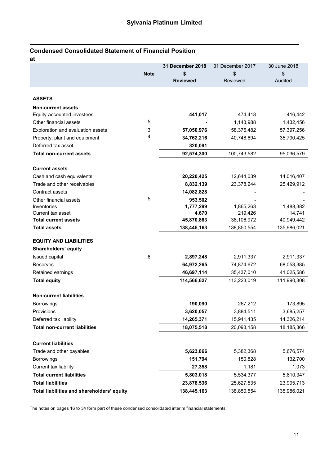# **Condensed Consolidated Statement of Financial Position**

| at                                         |             |                  |                  |              |
|--------------------------------------------|-------------|------------------|------------------|--------------|
|                                            |             | 31 December 2018 | 31 December 2017 | 30 June 2018 |
|                                            | <b>Note</b> | \$               | \$               | \$           |
|                                            |             | <b>Reviewed</b>  | <b>Reviewed</b>  | Audited      |
|                                            |             |                  |                  |              |
| <b>ASSETS</b>                              |             |                  |                  |              |
| <b>Non-current assets</b>                  |             |                  |                  |              |
| Equity-accounted investees                 |             | 441,017          | 474,418          | 416,442      |
| Other financial assets                     | 5           |                  | 1,143,988        | 1,432,456    |
| Exploration and evaluation assets          | 3           | 57,050,976       | 58,376,482       | 57,397,256   |
| Property, plant and equipment              | 4           | 34,762,216       | 40,748,694       | 35,790,425   |
| Deferred tax asset                         |             | 320,091          |                  |              |
| <b>Total non-current assets</b>            |             | 92,574,300       | 100,743,582      | 95,036,579   |
| <b>Current assets</b>                      |             |                  |                  |              |
| Cash and cash equivalents                  |             | 20,220,425       | 12,644,039       | 14,016,407   |
| Trade and other receivables                |             | 8,832,139        | 23,378,244       | 25,429,912   |
| Contract assets                            |             | 14,082,828       |                  |              |
| Other financial assets                     | 5           | 953,502          |                  |              |
| Inventories                                |             | 1,777,299        | 1,865,263        | 1,488,382    |
| Current tax asset                          |             | 4,670            | 219,426          | 14,741       |
| <b>Total current assets</b>                |             | 45,870,863       | 38,106,972       | 40,949,442   |
| <b>Total assets</b>                        |             | 138,445,163      | 138,850,554      | 135,986,021  |
| <b>EQUITY AND LIABILITIES</b>              |             |                  |                  |              |
| Shareholders' equity                       |             |                  |                  |              |
| Issued capital                             | 6           | 2,897,248        | 2,911,337        | 2,911,337    |
| Reserves                                   |             | 64,972,265       | 74,874,672       | 68,053,385   |
| Retained earnings                          |             | 46,697,114       | 35,437,010       | 41,025,586   |
| <b>Total equity</b>                        |             | 114,566,627      | 113,223,019      | 111,990,308  |
| <b>Non-current liabilities</b>             |             |                  |                  |              |
| <b>Borrowings</b>                          |             | 190,090          | 267,212          | 173,895      |
| Provisions                                 |             | 3,620,057        | 3,884,511        | 3,685,257    |
| Deferred tax liability                     |             | 14,265,371       | 15,941,435       | 14,326,214   |
| <b>Total non-current liabilities</b>       |             | 18,075,518       | 20,093,158       | 18,185,366   |
| <b>Current liabilities</b>                 |             |                  |                  |              |
| Trade and other payables                   |             | 5,623,866        | 5,382,368        | 5,676,574    |
| Borrowings                                 |             | 151,794          | 150,828          | 132,700      |
| Current tax liability                      |             | 27,358           | 1,181            | 1,073        |
| <b>Total current liabilities</b>           |             | 5,803,018        | 5,534,377        | 5,810,347    |
| <b>Total liabilities</b>                   |             | 23,878,536       | 25,627,535       | 23,995,713   |
| Total liabilities and shareholders' equity |             | 138,445,163      | 138,850,554      | 135,986,021  |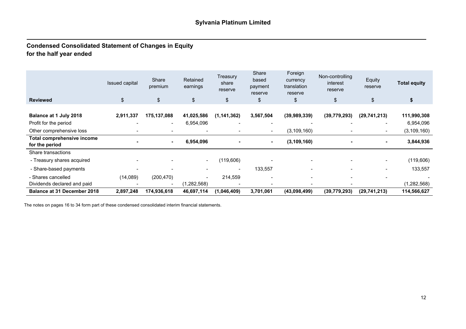## **Condensed Consolidated Statement of Changes in Equity for the half year ended**

| <b>Reviewed</b>                              | <b>Issued capital</b><br>\$ | Share<br>premium<br>\$ | Retained<br>earnings<br>\$ | Treasury<br>share<br>reserve<br>\$ | Share<br>based<br>payment<br>reserve<br>\$ | Foreign<br>currency<br>translation<br>reserve<br>\$ | Non-controlling<br>interest<br>reserve<br>\$ | Equity<br>reserve<br>\$  | <b>Total equity</b><br>\$ |
|----------------------------------------------|-----------------------------|------------------------|----------------------------|------------------------------------|--------------------------------------------|-----------------------------------------------------|----------------------------------------------|--------------------------|---------------------------|
|                                              |                             |                        |                            |                                    |                                            |                                                     |                                              |                          |                           |
| Balance at 1 July 2018                       | 2,911,337                   | 175,137,088            | 41,025,586                 | (1, 141, 362)                      | 3,567,504                                  | (39, 989, 339)                                      | (39, 779, 293)                               | (29, 741, 213)           | 111,990,308               |
| Profit for the period                        | $\overline{\phantom{0}}$    | $\blacksquare$         | 6,954,096                  | $\overline{\phantom{a}}$           | $\overline{\phantom{a}}$                   | $\overline{\phantom{a}}$                            |                                              | $\blacksquare$           | 6,954,096                 |
| Other comprehensive loss                     |                             |                        |                            |                                    | $\overline{\phantom{a}}$                   | (3, 109, 160)                                       |                                              | $\blacksquare$           | (3, 109, 160)             |
| Total comprehensive income<br>for the period | ۰                           | ۰.                     | 6,954,096                  |                                    |                                            | (3, 109, 160)                                       | $\blacksquare$                               |                          | 3,844,936                 |
| Share transactions                           |                             |                        |                            |                                    |                                            |                                                     |                                              |                          |                           |
| - Treasury shares acquired                   |                             |                        | $\sim$                     | (119,606)                          |                                            |                                                     |                                              | $\sim$                   | (119,606)                 |
| - Share-based payments                       |                             |                        |                            | $\,$                               | 133,557                                    |                                                     | -                                            | $\overline{\phantom{a}}$ | 133,557                   |
| - Shares cancelled                           | (14,089)                    | (200, 470)             | $\sim$                     | 214,559                            | $\overline{\phantom{a}}$                   | $\overline{\phantom{a}}$                            |                                              | $\overline{\phantom{0}}$ |                           |
| Dividends declared and paid                  | $\overline{\phantom{a}}$    |                        | (1,282,568)                |                                    |                                            |                                                     |                                              |                          | (1, 282, 568)             |
| <b>Balance at 31 December 2018</b>           | 2,897,248                   | 174,936,618            | 46,697,114                 | (1,046,409)                        | 3,701,061                                  | (43,098,499)                                        | (39,779,293)                                 | (29, 741, 213)           | 114,566,627               |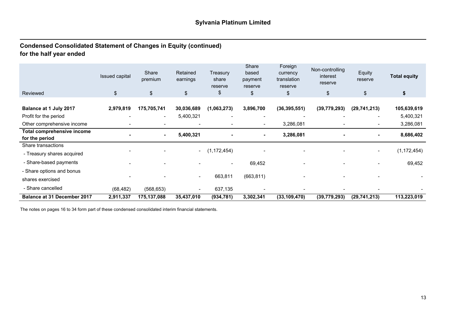# **Condensed Consolidated Statement of Changes in Equity (continued) for the half year ended**

|                                              | Issued capital | Share<br>premium | Retained<br>earnings     | Treasury<br>share<br>reserve | Share<br>based<br>payment<br>reserve | Foreign<br>currency<br>translation<br>reserve | Non-controlling<br>interest<br>reserve | Equity<br>reserve | <b>Total equity</b> |
|----------------------------------------------|----------------|------------------|--------------------------|------------------------------|--------------------------------------|-----------------------------------------------|----------------------------------------|-------------------|---------------------|
| Reviewed                                     | \$             | \$               | \$                       | \$                           | \$                                   | \$                                            | \$                                     | \$                | \$                  |
| Balance at 1 July 2017                       | 2,979,819      | 175,705,741      | 30,036,689               | (1,063,273)                  | 3,896,700                            | (36, 395, 551)                                | (39, 779, 293)                         | (29, 741, 213)    | 105,639,619         |
| Profit for the period                        |                | $\blacksquare$   | 5,400,321                |                              |                                      |                                               |                                        |                   | 5,400,321           |
| Other comprehensive income                   |                |                  |                          |                              | $\overline{\phantom{a}}$             | 3,286,081                                     |                                        | $\blacksquare$    | 3,286,081           |
| Total comprehensive income<br>for the period |                | ۰                | 5,400,321                |                              | ۰                                    | 3,286,081                                     |                                        |                   | 8,686,402           |
| Share transactions                           |                |                  |                          |                              |                                      |                                               |                                        |                   |                     |
| - Treasury shares acquired                   |                |                  | $\sim$                   | (1, 172, 454)                |                                      |                                               |                                        |                   | (1, 172, 454)       |
| - Share-based payments                       |                |                  |                          |                              | 69,452                               |                                               |                                        |                   | 69,452              |
| - Share options and bonus                    |                |                  |                          |                              |                                      |                                               |                                        |                   |                     |
| shares exercised                             |                |                  | $\overline{\phantom{a}}$ | 663,811                      | (663, 811)                           |                                               |                                        |                   |                     |
| - Share cancelled                            | (68, 482)      | (568, 653)       | $\overline{\phantom{a}}$ | 637,135                      |                                      | $\overline{\phantom{0}}$                      |                                        |                   |                     |
| <b>Balance at 31 December 2017</b>           | 2,911,337      | 175,137,088      | 35,437,010               | (934, 781)                   | 3,302,341                            | (33, 109, 470)                                | (39,779,293)                           | (29, 741, 213)    | 113,223,019         |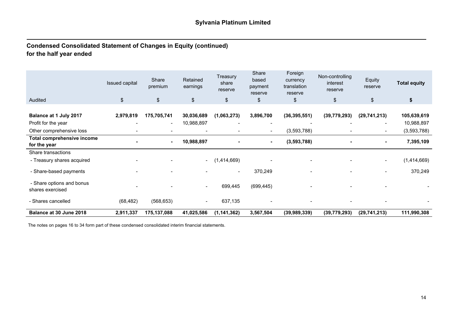# **Condensed Consolidated Statement of Changes in Equity (continued) for the half year ended**

|                                               | Issued capital<br>\$     | Share<br>premium | Retained<br>earnings     | Treasury<br>share<br>reserve | Share<br>based<br>payment<br>reserve | Foreign<br>currency<br>translation<br>reserve | Non-controlling<br>interest<br>reserve | Equity<br>reserve        | <b>Total equity</b> |
|-----------------------------------------------|--------------------------|------------------|--------------------------|------------------------------|--------------------------------------|-----------------------------------------------|----------------------------------------|--------------------------|---------------------|
| Audited                                       |                          | \$               | $\sqrt[6]{\frac{1}{2}}$  | $\frac{1}{2}$                | \$                                   | \$                                            | \$                                     | $\frac{1}{2}$            | \$                  |
| Balance at 1 July 2017                        | 2,979,819                | 175,705,741      | 30,036,689               | (1,063,273)                  | 3,896,700                            | (36, 395, 551)                                | (39, 779, 293)                         | (29, 741, 213)           | 105,639,619         |
| Profit for the year                           | $\overline{\phantom{0}}$ | $\sim$           | 10,988,897               |                              |                                      |                                               |                                        | $\overline{\phantom{a}}$ | 10,988,897          |
| Other comprehensive loss                      |                          |                  |                          |                              | $\blacksquare$                       | (3,593,788)                                   |                                        | $\blacksquare$           | (3,593,788)         |
| Total comprehensive income<br>for the year    |                          | $\sim$           | 10,988,897               |                              | ۰                                    | (3,593,788)                                   |                                        | ۰.                       | 7,395,109           |
| Share transactions                            |                          |                  |                          |                              |                                      |                                               |                                        |                          |                     |
| - Treasury shares acquired                    |                          |                  | $\sim$                   | (1,414,669)                  |                                      |                                               |                                        | $\blacksquare$           | (1,414,669)         |
| - Share-based payments                        |                          |                  |                          |                              | 370,249                              |                                               |                                        |                          | 370,249             |
| - Share options and bonus<br>shares exercised |                          |                  | $\overline{\phantom{a}}$ | 699,445                      | (699, 445)                           |                                               |                                        |                          |                     |
| - Shares cancelled                            | (68, 482)                | (568, 653)       | $\overline{\phantom{a}}$ | 637,135                      |                                      |                                               |                                        |                          |                     |
| Balance at 30 June 2018                       | 2,911,337                | 175,137,088      | 41,025,586               | (1, 141, 362)                | 3,567,504                            | (39,989,339)                                  | (39, 779, 293)                         | (29, 741, 213)           | 111,990,308         |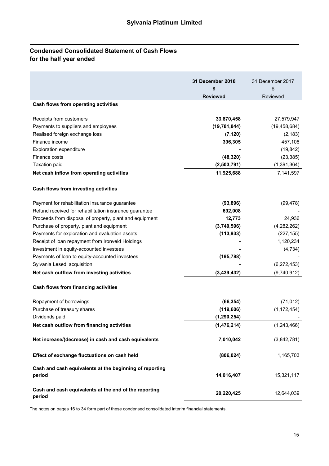# **Condensed Consolidated Statement of Cash Flows for the half year ended**

|                                                                   | 31 December 2018<br>\$<br><b>Reviewed</b> | 31 December 2017<br>\$<br>Reviewed |
|-------------------------------------------------------------------|-------------------------------------------|------------------------------------|
| Cash flows from operating activities                              |                                           |                                    |
| Receipts from customers                                           | 33,870,458                                | 27,579,947                         |
| Payments to suppliers and employees                               | (19, 781, 844)                            | (19, 458, 684)                     |
| Realised foreign exchange loss                                    | (7, 120)                                  | (2, 183)                           |
| Finance income                                                    | 396,305                                   | 457,108                            |
| <b>Exploration expenditure</b>                                    |                                           | (19, 842)                          |
| Finance costs                                                     | (48, 320)                                 | (23, 385)                          |
| <b>Taxation paid</b>                                              | (2,503,791)                               | (1, 391, 364)                      |
| Net cash inflow from operating activities                         | 11,925,688                                | 7,141,597                          |
| Cash flows from investing activities                              |                                           |                                    |
| Payment for rehabilitation insurance guarantee                    | (93, 896)                                 | (99, 478)                          |
| Refund received for rehabilitation insurance guarantee            | 692,008                                   |                                    |
| Proceeds from disposal of property, plant and equipment           | 12,773                                    | 24,936                             |
| Purchase of property, plant and equipment                         | (3,740,596)                               | (4,282,262)                        |
| Payments for exploration and evaluation assets                    | (113, 933)                                | (227, 155)                         |
| Receipt of loan repayment from Ironveld Holdings                  |                                           | 1,120,234                          |
| Investment in equity-accounted investees                          |                                           | (4, 734)                           |
| Payments of loan to equity-accounted investees                    | (195, 788)                                |                                    |
| Sylvania Lesedi acquisition                                       |                                           | (6, 272, 453)                      |
| Net cash outflow from investing activities                        | (3,439,432)                               | (9,740,912)                        |
| Cash flows from financing activities                              |                                           |                                    |
| Repayment of borrowings                                           | (66, 354)                                 | (71, 012)                          |
| Purchase of treasury shares                                       | (119, 606)                                | (1, 172, 454)                      |
| Dividends paid                                                    | (1, 290, 254)                             |                                    |
| Net cash outflow from financing activities                        | (1, 476, 214)                             | (1, 243, 466)                      |
| Net increase/(decrease) in cash and cash equivalents              | 7,010,042                                 | (3,842,781)                        |
| Effect of exchange fluctuations on cash held                      | (806, 024)                                | 1,165,703                          |
| Cash and cash equivalents at the beginning of reporting<br>period | 14,016,407                                | 15,321,117                         |
| Cash and cash equivalents at the end of the reporting<br>period   | 20,220,425                                | 12,644,039                         |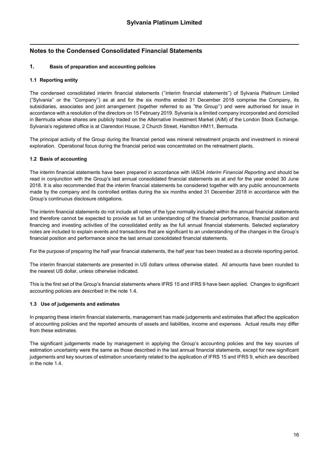### **1. Basis of preparation and accounting policies**

#### **1.1 Reporting entity**

The condensed consolidated interim financial statements (''interim financial statements'') of Sylvania Platinum Limited ("Sylvania'' or the ''Company'') as at and for the six months ended 31 December 2018 comprise the Company, its subsidiaries, associates and joint arrangement (together referred to as "the Group'') and were authorised for issue in accordance with a resolution of the directors on 15 February 2019. Sylvania is a limited company incorporated and domiciled in Bermuda whose shares are publicly traded on the Alternative Investment Market (AIM) of the London Stock Exchange. Sylvania's registered office is at Clarendon House, 2 Church Street, Hamilton HM11, Bermuda.

The principal activity of the Group during the financial period was mineral retreatment projects and investment in mineral exploration. Operational focus during the financial period was concentrated on the retreatment plants.

#### **1.2 Basis of accounting**

The interim financial statements have been prepared in accordance with IAS34 *Interim Financial Reporting* and should be read in conjunction with the Group's last annual consolidated financial statements as at and for the year ended 30 June 2018. It is also recommended that the interim financial statements be considered together with any public announcements made by the company and its controlled entities during the six months ended 31 December 2018 in accordance with the Group's continuous disclosure obligations.

The interim financial statements do not include all notes of the type normally included within the annual financial statements and therefore cannot be expected to provide as full an understanding of the financial performance, financial position and financing and investing activities of the consolidated entity as the full annual financial statements. Selected explanatory notes are included to explain events and transactions that are significant to an understanding of the changes in the Group's financial position and performance since the last annual consolidated financial statements.

For the purpose of preparing the half year financial statements, the half year has been treated as a discrete reporting period.

The interim financial statements are presented in US dollars unless otherwise stated. All amounts have been rounded to the nearest US dollar, unless otherwise indicated.

This is the first set of the Group's financial statements where IFRS 15 and IFRS 9 have been applied. Changes to significant accounting policies are described in the note 1.4.

#### **1.3 Use of judgements and estimates**

In preparing these interim financial statements, management has made judgements and estimates that affect the application of accounting policies and the reported amounts of assets and liabilities, income and expenses. Actual results may differ from these estimates.

The significant judgements made by management in applying the Group's accounting policies and the key sources of estimation uncertainty were the same as those described in the last annual financial statements, except for new significant judgements and key sources of estimation uncertainty related to the application of IFRS 15 and IFRS 9, which are described in the note 1.4.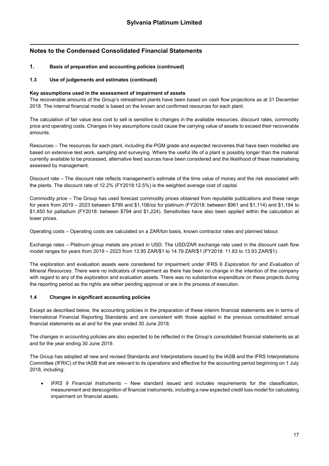### **1. Basis of preparation and accounting policies (continued)**

#### **1.3 Use of judgements and estimates (continued)**

#### **Key assumptions used in the assessment of impairment of assets**

The recoverable amounts of the Group's retreatment plants have been based on cash flow projections as at 31 December 2018. The internal financial model is based on the known and confirmed resources for each plant.

The calculation of fair value less cost to sell is sensitive to changes in the available resources, discount rates, commodity price and operating costs. Changes in key assumptions could cause the carrying value of assets to exceed their recoverable amounts.

Resources – The resources for each plant, including the PGM grade and expected recoveries that have been modelled are based on extensive test work, sampling and surveying. Where the useful life of a plant is possibly longer than the material currently available to be processed, alternative feed sources have been considered and the likelihood of these materialising assessed by management.

Discount rate – The discount rate reflects management's estimate of the time value of money and the risk associated with the plants. The discount rate of 12.2% (FY2018:12.5%) is the weighted average cost of capital.

Commodity price – The Group has used forecast commodity prices obtained from reputable publications and these range for years from 2019 – 2023 between \$799 and \$1,106/oz for platinum (FY2018: between \$961 and \$1,114) and \$1,194 to \$1,450 for palladium (FY2018: between \$794 and \$1,224). Sensitivities have also been applied within the calculation at lower prices.

Operating costs – Operating costs are calculated on a ZAR/ton basis, known contractor rates and planned labour.

Exchange rates – Platinum group metals are priced in USD. The USD/ZAR exchange rate used in the discount cash flow model ranges for years from 2019 – 2023 from 13.95 ZAR/\$1 to 14.79 ZAR/\$1 (FY2018: 11.83 to 13.93 ZAR/\$1).

The exploration and evaluation assets were considered for impairment under IFRS 6 *Exploration for and Evaluation of Mineral Resources*. There were no indicators of impairment as there has been no change in the intention of the company with regard to any of the exploration and evaluation assets. There was no substantive expenditure on these projects during the reporting period as the rights are either pending approval or are in the process of execution.

#### **1.4 Changes in significant accounting policies**

Except as described below, the accounting policies in the preparation of these interim financial statements are in terms of International Financial Reporting Standards and are consistent with those applied in the previous consolidated annual financial statements as at and for the year ended 30 June 2018.

The changes in accounting policies are also expected to be reflected in the Group's consolidated financial statements as at and for the year ending 30 June 2019.

The Group has adopted all new and revised Standards and Interpretations issued by the IASB and the IFRS Interpretations Committee (IFRIC) of the IASB that are relevant to its operations and effective for the accounting period beginning on 1 July 2018, including:

 *IFRS 9 Financial Instruments* – New standard issued and includes requirements for the classification, measurement and derecognition of financial instruments, including a new expected credit loss model for calculating impairment on financial assets.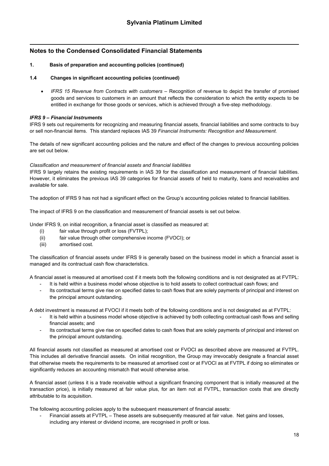#### **1. Basis of preparation and accounting policies (continued)**

#### **1.4 Changes in significant accounting policies (continued)**

 *IFRS 15 Revenue from Contracts with customers* – Recognition of revenue to depict the transfer of promised goods and services to customers in an amount that reflects the consideration to which the entity expects to be entitled in exchange for those goods or services, which is achieved through a five-step methodology.

#### *IFRS 9 – Financial Instruments*

IFRS 9 sets out requirements for recognizing and measuring financial assets, financial liabilities and some contracts to buy or sell non-financial items. This standard replaces IAS 39 *Financial Instruments: Recognition and Measurement.*

The details of new significant accounting policies and the nature and effect of the changes to previous accounting policies are set out below.

#### *Classification and measurement of financial assets and financial liabilities*

IFRS 9 largely retains the existing requirements in IAS 39 for the classification and measurement of financial liabilities. However, it eliminates the previous IAS 39 categories for financial assets of held to maturity, loans and receivables and available for sale.

The adoption of IFRS 9 has not had a significant effect on the Group's accounting policies related to financial liabilities.

The impact of IFRS 9 on the classification and measurement of financial assets is set out below.

Under IFRS 9, on initial recognition, a financial asset is classified as measured at:

- (i) fair value through profit or loss (FVTPL);
- (ii) fair value through other comprehensive income (FVOCI); or
- (iii) amortised cost.

The classification of financial assets under IFRS 9 is generally based on the business model in which a financial asset is managed and its contractual cash flow characteristics.

A financial asset is measured at amortised cost if it meets both the following conditions and is not designated as at FVTPL:

- It is held within a business model whose objective is to hold assets to collect contractual cash flows; and
- Its contractual terms give rise on specified dates to cash flows that are solely payments of principal and interest on the principal amount outstanding.

A debt investment is measured at FVOCI if it meets both of the following conditions and is not designated as at FVTPL:

- It is held within a business model whose objective is achieved by both collecting contractual cash flows and selling financial assets; and
- Its contractual terms give rise on specified dates to cash flows that are solely payments of principal and interest on the principal amount outstanding.

All financial assets not classified as measured at amortised cost or FVOCI as described above are measured at FVTPL. This includes all derivative financial assets. On initial recognition, the Group may irrevocably designate a financial asset that otherwise meets the requirements to be measured at amortised cost or at FVOCI as at FVTPL if doing so eliminates or significantly reduces an accounting mismatch that would otherwise arise.

A financial asset (unless it is a trade receivable without a significant financing component that is initially measured at the transaction price), is initially measured at fair value plus, for an item not at FVTPL, transaction costs that are directly attributable to its acquisition.

The following accounting policies apply to the subsequent measurement of financial assets:

- Financial assets at FVTPL These assets are subsequently measured at fair value. Net gains and losses,
- including any interest or dividend income, are recognised in profit or loss.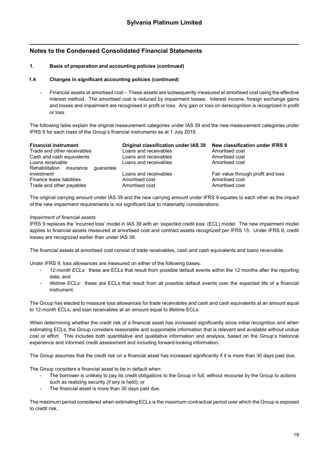#### **1. Basis of preparation and accounting policies (continued)**

#### **1.4 Changes in significant accounting policies (continued)**

Financial assets at amortised cost – These assets are subsequently measured at amortised cost using the effective interest method. The amortised cost is reduced by impairment losses. Interest income, foreign exchange gains and losses and impairment are recognised in profit or loss. Any gain or loss on derecognition is recognized in profit or loss.

The following table explain the original measurement categories under IAS 39 and the new measurement categories under IFRS 9 for each class of the Group's financial instruments as at 1 July 2018.

| <b>Financial instrument</b>                            | Original classification under IAS 39 | New classification under IFRS 9    |
|--------------------------------------------------------|--------------------------------------|------------------------------------|
| Trade and other receivables                            | Loans and receivables                | Amortised cost                     |
| Cash and cash equivalents                              | Loans and receivables                | Amortised cost                     |
| Loans receivable                                       | Loans and receivables                | Amortised cost                     |
| Rehabilitation<br>quarantee<br>insurance<br>investment | Loans and receivables                | Fair value through profit and loss |
| Finance lease liabilities                              | Amortised cost                       | Amortised cost                     |
| Trade and other payables                               | Amortised cost                       | Amortised cost                     |

The original carrying amount under IAS 39 and the new carrying amount under IFRS 9 equates to each other as the impact of the new impairment requirements is not significant due to materiality considerations.

#### *Impairment of financial assets*

IFRS 9 replaces the 'incurred loss' model in IAS 39 with an 'expected credit loss' (ECL) model. The new impairment model applies to financial assets measured at amortised cost and contract assets recognized per IFRS 15. Under IFRS 9, credit losses are recognized earlier than under IAS 39.

The financial assets at amortised cost consist of trade receivables, cash and cash equivalents and loans receivable.

Under IFRS 9, loss allowances are measured on either of the following bases:

- 12-month ECLs: these are ECLs that result from possible default events within the 12 months after the reporting date; and
- lifetime ECLs: these are ECLs that result from all possible default events over the expected life of a financial instrument.

The Group has elected to measure loss allowances for trade receivables and cash and cash equivalents at an amount equal to 12-month ECLs, and loan receivables at an amount equal to lifetime ECLs.

When determining whether the credit risk of a financial asset has increased significantly since initial recognition and when estimating ECLs, the Group considers reasonable and supportable information that is relevant and available without undue cost or effort. This includes both quantitative and qualitative information and analysis, based on the Group's historical experience and informed credit assessment and including forward-looking information.

The Group assumes that the credit risk on a financial asset has increased significantly if it is more than 30 days past due.

The Group considers a financial asset to be in default when:

- The borrower is unlikely to pay its credit obligations to the Group in full, without recourse by the Group to actions such as realizing security (if any is held); or
- The financial asset is more than 30 days past due.

The maximum period considered when estimating ECLs is the maximum contractual period over which the Group is exposed to credit risk.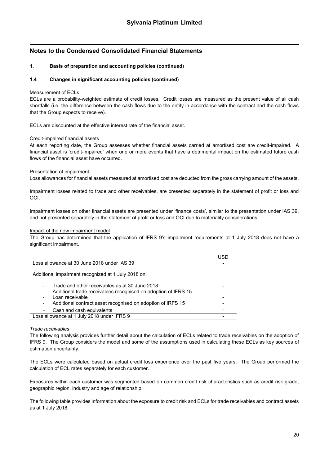#### **1. Basis of preparation and accounting policies (continued)**

#### **1.4 Changes in significant accounting policies (continued)**

#### Measurement of ECLs

ECLs are a probability-weighted estimate of credit losses. Credit losses are measured as the present value of all cash shortfalls (i.e. the difference between the cash flows due to the entity in accordance with the contract and the cash flows that the Group expects to receive).

ECLs are discounted at the effective interest rate of the financial asset.

#### Credit-impaired financial assets

At each reporting date, the Group assesses whether financial assets carried at amortised cost are credit-impaired. A financial asset is 'credit-impaired' when one or more events that have a detrimental impact on the estimated future cash flows of the financial asset have occurred.

#### Presentation of impairment

Loss allowances for financial assets measured at amortised cost are deducted from the gross carrying amount of the assets.

Impairment losses related to trade and other receivables, are presented separately in the statement of profit or loss and OCI.

Impairment losses on other financial assets are presented under 'finance costs', similar to the presentation under IAS 39, and not presented separately in the statement of profit or loss and OCI due to materiality considerations.

#### Impact of the new impairment model

The Group has determined that the application of IFRS 9's impairment requirements at 1 July 2018 does not have a significant impairment.

| Loss allowance at 30 June 2018 under IAS 39                                                                                                                                                                                         |  |  |  |  |
|-------------------------------------------------------------------------------------------------------------------------------------------------------------------------------------------------------------------------------------|--|--|--|--|
| Additional impairment recognized at 1 July 2018 on:                                                                                                                                                                                 |  |  |  |  |
| Trade and other receivables as at 30 June 2018<br>$\overline{\phantom{0}}$<br>Additional trade receivables recognised on adoption of IFRS 15<br>Loan receivable<br>Additional contract asset recognised on adoption of IRFS 15<br>- |  |  |  |  |
| Cash and cash equivalents<br>-                                                                                                                                                                                                      |  |  |  |  |
| Loss allowance at 1 July 2018 under IFRS 9                                                                                                                                                                                          |  |  |  |  |

#### *Trade receivables*

The following analysis provides further detail about the calculation of ECLs related to trade receivables on the adoption of IFRS 9. The Group considers the model and some of the assumptions used in calculating these ECLs as key sources of estimation uncertainty.

The ECLs were calculated based on actual credit loss experience over the past five years. The Group performed the calculation of ECL rates separately for each customer.

Exposures within each customer was segmented based on common credit risk characteristics such as credit risk grade, geographic region, industry and age of relationship.

The following table provides information about the exposure to credit risk and ECLs for trade receivables and contract assets as at 1 July 2018.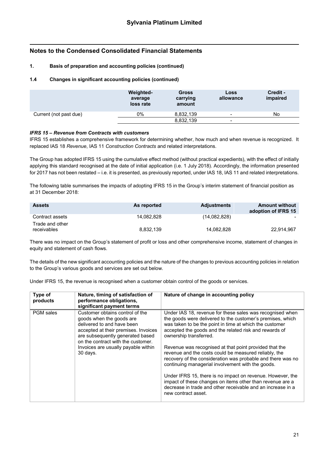#### **1. Basis of preparation and accounting policies (continued)**

#### **1.4 Changes in significant accounting policies (continued)**

|                        | <b>Weighted-</b><br>average<br>loss rate | <b>Gross</b><br>carrying<br>amount | Loss<br>allowance        | Credit -<br>impaired |
|------------------------|------------------------------------------|------------------------------------|--------------------------|----------------------|
| Current (not past due) | 0%                                       | 8,832,139                          | $\overline{\phantom{0}}$ | No                   |
|                        |                                          | 8,832,139                          | $\,$                     |                      |

#### *IFRS 15 – Revenue from Contracts with customers*

IFRS 15 establishes a comprehensive framework for determining whether, how much and when revenue is recognized. It replaced IAS 18 *Revenue*, IAS 11 *Construction Contracts* and related interpretations.

The Group has adopted IFRS 15 using the cumulative effect method (without practical expedients), with the effect of initially applying this standard recognised at the date of initial application (i.e. 1 July 2018). Accordingly, the information presented for 2017 has not been restated – i.e. it is presented, as previously reported, under IAS 18, IAS 11 and related interpretations.

The following table summarises the impacts of adopting IFRS 15 in the Group's interim statement of financial position as at 31 December 2018:

| <b>Assets</b>                  | As reported | <b>Adjustments</b> | <b>Amount without</b><br>adoption of IFRS 15 |
|--------------------------------|-------------|--------------------|----------------------------------------------|
| Contract assets                | 14.082.828  | (14,082,828)       |                                              |
| Trade and other<br>receivables | 8.832.139   | 14,082,828         | 22.914.967                                   |

There was no impact on the Group's statement of profit or loss and other comprehensive income, statement of changes in equity and statement of cash flows.

The details of the new significant accounting policies and the nature of the changes to previous accounting policies in relation to the Group's various goods and services are set out below.

Under IFRS 15, the revenue is recognised when a customer obtain control of the goods or services.

| Type of<br>products | Nature, timing of satisfaction of<br>performance obligations,<br>significant payment terms                                                                                                                                                                     | Nature of change in accounting policy                                                                                                                                                                                                                                                                                                                                                                                                                                                                                                                                                                                                                                                                                          |
|---------------------|----------------------------------------------------------------------------------------------------------------------------------------------------------------------------------------------------------------------------------------------------------------|--------------------------------------------------------------------------------------------------------------------------------------------------------------------------------------------------------------------------------------------------------------------------------------------------------------------------------------------------------------------------------------------------------------------------------------------------------------------------------------------------------------------------------------------------------------------------------------------------------------------------------------------------------------------------------------------------------------------------------|
| PGM sales           | Customer obtains control of the<br>goods when the goods are<br>delivered to and have been<br>accepted at their premises. Invoices<br>are subsequently generated based<br>on the contract with the customer.<br>Invoices are usually payable within<br>30 days. | Under IAS 18, revenue for these sales was recognised when<br>the goods were delivered to the customer's premises, which<br>was taken to be the point in time at which the customer<br>accepted the goods and the related risk and rewards of<br>ownership transferred.<br>Revenue was recognised at that point provided that the<br>revenue and the costs could be measured reliably, the<br>recovery of the consideration was probable and there was no<br>continuing managerial involvement with the goods.<br>Under IFRS 15, there is no impact on revenue. However, the<br>impact of these changes on items other than revenue are a<br>decrease in trade and other receivable and an increase in a<br>new contract asset. |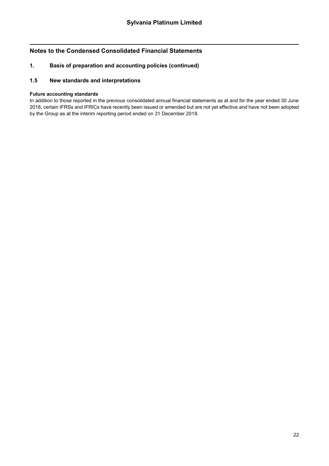### **1. Basis of preparation and accounting policies (continued)**

### **1.5 New standards and interpretations**

### **Future accounting standards**

In addition to those reported in the previous consolidated annual financial statements as at and for the year ended 30 June 2018, certain IFRSs and IFRICs have recently been issued or amended but are not yet effective and have not been adopted by the Group as at the interim reporting period ended on 31 December 2018.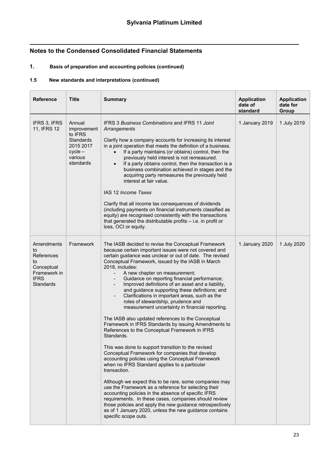# **1. Basis of preparation and accounting policies (continued)**

### **1.5 New standards and interpretations (continued)**

| <b>Reference</b>                                                                                      | <b>Title</b>                                                                                           | <b>Summary</b>                                                                                                                                                                                                                                                                                                                                                                                                                                                                                                                                                                                                                                                                                                                                                                                                                                                                                                                                                                                                                                                                                                                                                                                                                                                                                                                                                                     | <b>Application</b><br>date of<br>standard | <b>Application</b><br>date for<br>Group |
|-------------------------------------------------------------------------------------------------------|--------------------------------------------------------------------------------------------------------|------------------------------------------------------------------------------------------------------------------------------------------------------------------------------------------------------------------------------------------------------------------------------------------------------------------------------------------------------------------------------------------------------------------------------------------------------------------------------------------------------------------------------------------------------------------------------------------------------------------------------------------------------------------------------------------------------------------------------------------------------------------------------------------------------------------------------------------------------------------------------------------------------------------------------------------------------------------------------------------------------------------------------------------------------------------------------------------------------------------------------------------------------------------------------------------------------------------------------------------------------------------------------------------------------------------------------------------------------------------------------------|-------------------------------------------|-----------------------------------------|
| IFRS 3, IFRS<br>11, IFRS 12                                                                           | Annual<br>improvement<br>to IFRS<br><b>Standards</b><br>2015 2017<br>$cycle -$<br>various<br>standards | IFRS 3 Business Combinations and IFRS 11 Joint<br>Arrangements<br>Clarify how a company accounts for increasing its interest<br>in a joint operation that meets the definition of a business.<br>If a party maintains (or obtains) control, then the<br>previously held interest is not remeasured.<br>If a party obtains control, then the transaction is a<br>business combination achieved in stages and the<br>acquiring party remeasures the previously held<br>interest at fair value.<br>IAS 12 Income Taxes<br>Clarify that all income tax consequences of dividends<br>(including payments on financial instruments classified as<br>equity) are recognised consistently with the transactions<br>that generated the distributable profits - i.e. in profit or<br>loss, OCI or equity.                                                                                                                                                                                                                                                                                                                                                                                                                                                                                                                                                                                    | 1 January 2019                            | 1 July 2019                             |
| Amendments<br>to<br>References<br>to<br>Conceptual<br>Framework in<br><b>IFRS</b><br><b>Standards</b> | Framework                                                                                              | The IASB decided to revise the Conceptual Framework<br>because certain important issues were not covered and<br>certain guidance was unclear or out of date. The revised<br>Conceptual Framework, issued by the IASB in March<br>2018, includes:<br>A new chapter on measurement;<br>Guidance on reporting financial performance;<br>Improved definitions of an asset and a liability,<br>and guidance supporting these definitions; and<br>Clarifications in important areas, such as the<br>roles of stewardship, prudence and<br>measurement uncertainty in financial reporting.<br>The IASB also updated references to the Conceptual<br>Framework in IFRS Standards by issuing Amendments to<br>References to the Conceptual Framework in IFRS<br>Standards.<br>This was done to support transition to the revised<br>Conceptual Framework for companies that develop<br>accounting policies using the Conceptual Framework<br>when no IFRS Standard applies to a particular<br>transaction.<br>Although we expect this to be rare, some companies may<br>use the Framework as a reference for selecting their<br>accounting policies in the absence of specific IFRS<br>requirements. In these cases, companies should review<br>those policies and apply the new guidance retrospectively<br>as of 1 January 2020, unless the new guidance contains<br>specific scope outs. | 1 January 2020                            | 1 July 2020                             |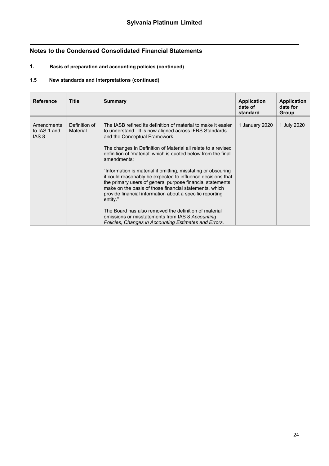# **1. Basis of preparation and accounting policies (continued)**

### **1.5 New standards and interpretations (continued)**

| standard                                                                                                                                                                                                                                                                                                                                                                                                                                                                                                                                                                                                                                                                                                                                                                                                                                                                                                                       | <b>Application</b> |
|--------------------------------------------------------------------------------------------------------------------------------------------------------------------------------------------------------------------------------------------------------------------------------------------------------------------------------------------------------------------------------------------------------------------------------------------------------------------------------------------------------------------------------------------------------------------------------------------------------------------------------------------------------------------------------------------------------------------------------------------------------------------------------------------------------------------------------------------------------------------------------------------------------------------------------|--------------------|
| Group                                                                                                                                                                                                                                                                                                                                                                                                                                                                                                                                                                                                                                                                                                                                                                                                                                                                                                                          | date for           |
| Definition of<br>The IASB refined its definition of material to make it easier<br>Amendments<br>1 January 2020<br>1 July 2020<br>to IAS 1 and<br>Material<br>to understand. It is now aligned across IFRS Standards<br>IAS <sub>8</sub><br>and the Conceptual Framework.<br>The changes in Definition of Material all relate to a revised<br>definition of 'material' which is quoted below from the final<br>amendments:<br>"Information is material if omitting, misstating or obscuring<br>it could reasonably be expected to influence decisions that<br>the primary users of general purpose financial statements<br>make on the basis of those financial statements, which<br>provide financial information about a specific reporting<br>entity."<br>The Board has also removed the definition of material<br>omissions or misstatements from IAS 8 Accounting<br>Policies, Changes in Accounting Estimates and Errors. |                    |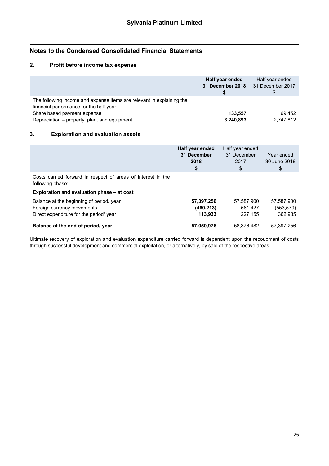### **2. Profit before income tax expense**

|                                                                                                                                                                                                  | Half year ended<br>31 December 2018 | Half year ended<br>31 December 2017<br>Ъ |
|--------------------------------------------------------------------------------------------------------------------------------------------------------------------------------------------------|-------------------------------------|------------------------------------------|
| The following income and expense items are relevant in explaining the<br>financial performance for the half year:<br>Share based payment expense<br>Depreciation - property, plant and equipment | 133.557<br>3,240,893                | 69.452<br>2,747,812                      |

### **3. Exploration and evaluation assets**

|                                                                                                                                | Half year ended<br>31 December<br>2018<br>\$ | Half year ended<br>31 December<br>2017<br>\$ | Year ended<br>30 June 2018<br>\$    |
|--------------------------------------------------------------------------------------------------------------------------------|----------------------------------------------|----------------------------------------------|-------------------------------------|
| Costs carried forward in respect of areas of interest in the<br>following phase:<br>Exploration and evaluation phase – at cost |                                              |                                              |                                     |
| Balance at the beginning of period/year<br>Foreign currency movements<br>Direct expenditure for the period/ year               | 57,397,256<br>(460, 213)<br>113,933          | 57,587,900<br>561.427<br>227,155             | 57.587.900<br>(553, 579)<br>362,935 |
| Balance at the end of period/ year                                                                                             | 57,050,976                                   | 58.376.482                                   | 57.397.256                          |

Ultimate recovery of exploration and evaluation expenditure carried forward is dependent upon the recoupment of costs through successful development and commercial exploitation, or alternatively, by sale of the respective areas.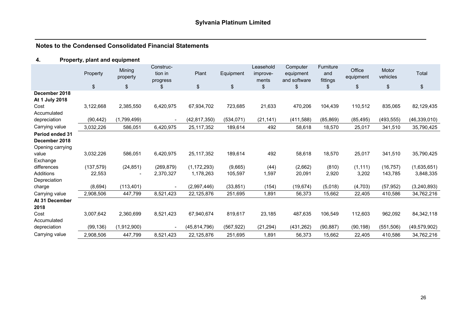# **4. Property, plant and equipment**

|                        | Property<br>\$ | Mining<br>property<br>\$ | Construc-<br>tion in<br>progress<br>\$ | Plant<br>\$    | Equipment<br>\$ | Leasehold<br>improve-<br>ments<br>\$ | Computer<br>equipment<br>and software<br>\$ | Furniture<br>and<br>fittings<br>\$ | Office<br>equipment<br>\$ | Motor<br>vehicles<br>\$ | Total<br>\$    |
|------------------------|----------------|--------------------------|----------------------------------------|----------------|-----------------|--------------------------------------|---------------------------------------------|------------------------------------|---------------------------|-------------------------|----------------|
| December 2018          |                |                          |                                        |                |                 |                                      |                                             |                                    |                           |                         |                |
| At 1 July 2018         |                |                          |                                        |                |                 |                                      |                                             |                                    |                           |                         |                |
| Cost                   | 3,122,668      | 2,385,550                | 6,420,975                              | 67,934,702     | 723,685         | 21,633                               | 470,206                                     | 104,439                            | 110,512                   | 835,065                 | 82,129,435     |
| Accumulated            |                |                          |                                        |                |                 |                                      |                                             |                                    |                           |                         |                |
| depreciation           | (90, 442)      | (1,799,499)              | $\blacksquare$                         | (42, 817, 350) | (534, 071)      | (21, 141)                            | (411,588)                                   | (85, 869)                          | (85, 495)                 | (493, 555)              | (46, 339, 010) |
| Carrying value         | 3,032,226      | 586,051                  | 6,420,975                              | 25,117,352     | 189,614         | 492                                  | 58,618                                      | 18,570                             | 25,017                    | 341,510                 | 35,790,425     |
| <b>Period ended 31</b> |                |                          |                                        |                |                 |                                      |                                             |                                    |                           |                         |                |
| December 2018          |                |                          |                                        |                |                 |                                      |                                             |                                    |                           |                         |                |
| Opening carrying       |                |                          |                                        |                |                 |                                      |                                             |                                    |                           |                         |                |
| value                  | 3,032,226      | 586,051                  | 6,420,975                              | 25,117,352     | 189,614         | 492                                  | 58,618                                      | 18,570                             | 25,017                    | 341,510                 | 35,790,425     |
| Exchange               |                |                          |                                        |                |                 |                                      |                                             |                                    |                           |                         |                |
| differences            | (137, 579)     | (24, 851)                | (269, 879)                             | (1, 172, 293)  | (9,665)         | (44)                                 | (2,662)                                     | (810)                              | (1, 111)                  | (16, 757)               | (1,635,651)    |
| Additions              | 22,553         |                          | 2,370,327                              | 1,178,263      | 105,597         | 1,597                                | 20,091                                      | 2,920                              | 3,202                     | 143,785                 | 3,848,335      |
| Depreciation           |                |                          |                                        |                |                 |                                      |                                             |                                    |                           |                         |                |
| charge                 | (8,694)        | (113, 401)               | $\blacksquare$                         | (2,997,446)    | (33, 851)       | (154)                                | (19, 674)                                   | (5,018)                            | (4,703)                   | (57, 952)               | (3, 240, 893)  |
| Carrying value         | 2,908,506      | 447,799                  | 8,521,423                              | 22,125,876     | 251,695         | 1,891                                | 56,373                                      | 15,662                             | 22,405                    | 410,586                 | 34,762,216     |
| At 31 December         |                |                          |                                        |                |                 |                                      |                                             |                                    |                           |                         |                |
| 2018                   |                |                          |                                        |                |                 |                                      |                                             |                                    |                           |                         |                |
| Cost                   | 3,007,642      | 2,360,699                | 8,521,423                              | 67,940,674     | 819,617         | 23,185                               | 487,635                                     | 106,549                            | 112,603                   | 962,092                 | 84, 342, 118   |
| Accumulated            |                |                          |                                        |                |                 |                                      |                                             |                                    |                           |                         |                |
| depreciation           | (99, 136)      | (1,912,900)              | $\blacksquare$                         | (45, 814, 796) | (567, 922)      | (21, 294)                            | (431, 262)                                  | (90, 887)                          | (90, 198)                 | (551, 506)              | (49, 579, 902) |
| Carrying value         | 2,908,506      | 447,799                  | 8,521,423                              | 22,125,876     | 251,695         | 1,891                                | 56,373                                      | 15,662                             | 22,405                    | 410,586                 | 34,762,216     |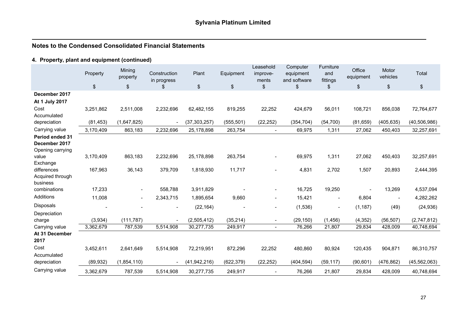# **4. Property, plant and equipment (continued)**

|                                                             | Property  | Mining<br>property | Construction<br>in progress | Plant          | Equipment     | Leasehold<br>improve-<br>ments | Computer<br>equipment<br>and software | Furniture<br>and<br>fittings | Office<br>equipment | Motor<br>vehicles        | Total          |
|-------------------------------------------------------------|-----------|--------------------|-----------------------------|----------------|---------------|--------------------------------|---------------------------------------|------------------------------|---------------------|--------------------------|----------------|
|                                                             | $\,$      | \$                 | \$                          | \$             | $\frac{1}{2}$ | \$                             | \$                                    | \$                           | \$                  | \$                       | \$             |
| December 2017                                               |           |                    |                             |                |               |                                |                                       |                              |                     |                          |                |
| At 1 July 2017                                              |           |                    |                             |                |               |                                |                                       |                              |                     |                          |                |
| Cost                                                        | 3,251,862 | 2,511,008          | 2,232,696                   | 62,482,155     | 819,255       | 22,252                         | 424,679                               | 56,011                       | 108,721             | 856,038                  | 72,764,677     |
| Accumulated                                                 |           |                    |                             |                |               |                                |                                       |                              |                     |                          |                |
| depreciation                                                | (81, 453) | (1,647,825)        |                             | (37, 303, 257) | (555, 501)    | (22, 252)                      | (354, 704)                            | (54, 700)                    | (81, 659)           | (405, 635)               | (40, 506, 986) |
| Carrying value                                              | 3,170,409 | 863,183            | 2,232,696                   | 25,178,898     | 263,754       | $\overline{\phantom{a}}$       | 69,975                                | 1,311                        | 27,062              | 450,403                  | 32,257,691     |
| <b>Period ended 31</b><br>December 2017<br>Opening carrying |           |                    |                             |                |               |                                |                                       |                              |                     |                          |                |
| value<br>Exchange                                           | 3,170,409 | 863,183            | 2,232,696                   | 25,178,898     | 263,754       |                                | 69,975                                | 1,311                        | 27,062              | 450,403                  | 32,257,691     |
| differences<br>Acquired through<br>business                 | 167,963   | 36,143             | 379,709                     | 1,818,930      | 11,717        |                                | 4,831                                 | 2,702                        | 1,507               | 20,893                   | 2,444,395      |
| combinations                                                | 17,233    | $\blacksquare$     | 558,788                     | 3,911,829      |               | $\overline{\phantom{a}}$       | 16,725                                | 19,250                       |                     | 13,269                   | 4,537,094      |
| Additions                                                   | 11,008    | $\blacksquare$     | 2,343,715                   | 1,895,654      | 9,660         | $\overline{\phantom{a}}$       | 15,421                                | $\overline{\phantom{a}}$     | 6,804               | $\overline{\phantom{a}}$ | 4,282,262      |
| <b>Disposals</b>                                            |           | $\blacksquare$     | $\overline{\phantom{a}}$    | (22, 164)      |               | $\overline{\phantom{a}}$       | (1,536)                               | $\overline{\phantom{a}}$     | (1, 187)            | (49)                     | (24, 936)      |
| Depreciation                                                |           |                    |                             |                |               |                                |                                       |                              |                     |                          |                |
| charge                                                      | (3,934)   | (111, 787)         |                             | (2,505,412)    | (35, 214)     | $\overline{\phantom{a}}$       | (29, 150)                             | (1, 456)                     | (4, 352)            | (56, 507)                | (2,747,812)    |
| Carrying value                                              | 3,362,679 | 787,539            | 5,514,908                   | 30,277,735     | 249,917       | $\blacksquare$                 | 76,266                                | 21,807                       | 29,834              | 428,009                  | 40,748,694     |
| At 31 December<br>2017                                      |           |                    |                             |                |               |                                |                                       |                              |                     |                          |                |
| Cost<br>Accumulated                                         | 3,452,611 | 2,641,649          | 5,514,908                   | 72,219,951     | 872,296       | 22,252                         | 480,860                               | 80,924                       | 120,435             | 904,871                  | 86,310,757     |
| depreciation                                                | (89, 932) | (1,854,110)        | $\overline{\phantom{a}}$    | (41, 942, 216) | (622, 379)    | (22, 252)                      | (404, 594)                            | (59, 117)                    | (90, 601)           | (476, 862)               | (45, 562, 063) |
| Carrying value                                              | 3,362,679 | 787,539            | 5,514,908                   | 30,277,735     | 249,917       |                                | 76,266                                | 21,807                       | 29,834              | 428,009                  | 40,748,694     |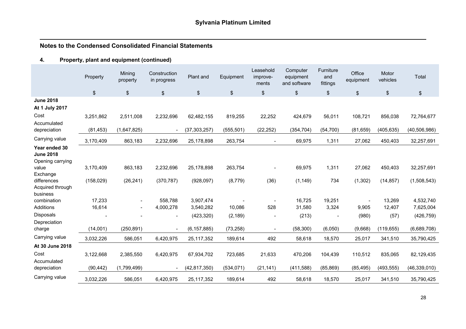# **4. Property, plant and equipment (continued)**

|                                                                | Property   | Mining<br>property | Construction<br>in progress | Plant and      | Equipment     | Leasehold<br>improve-<br>ments | Computer<br>equipment<br>and software | <b>Furniture</b><br>and<br>fittings | Office<br>equipment | Motor<br>vehicles | Total          |
|----------------------------------------------------------------|------------|--------------------|-----------------------------|----------------|---------------|--------------------------------|---------------------------------------|-------------------------------------|---------------------|-------------------|----------------|
|                                                                | \$         | \$                 | \$                          | \$             | $\frac{1}{2}$ | \$                             | \$                                    | $\,$                                | \$                  | \$                | $\,$           |
| <b>June 2018</b><br>At 1 July 2017                             |            |                    |                             |                |               |                                |                                       |                                     |                     |                   |                |
| Cost<br>Accumulated                                            | 3,251,862  | 2,511,008          | 2,232,696                   | 62,482,155     | 819,255       | 22,252                         | 424,679                               | 56,011                              | 108,721             | 856,038           | 72,764,677     |
| depreciation                                                   | (81, 453)  | (1,647,825)        | $\overline{\phantom{a}}$    | (37, 303, 257) | (555, 501)    | (22, 252)                      | (354, 704)                            | (54, 700)                           | (81, 659)           | (405, 635)        | (40, 506, 986) |
| Carrying value                                                 | 3,170,409  | 863,183            | 2,232,696                   | 25,178,898     | 263,754       | $\blacksquare$                 | 69,975                                | 1,311                               | 27,062              | 450,403           | 32,257,691     |
| Year ended 30<br><b>June 2018</b><br>Opening carrying<br>value | 3,170,409  | 863,183            | 2,232,696                   | 25,178,898     | 263,754       |                                | 69,975                                | 1,311                               | 27,062              | 450,403           | 32,257,691     |
| Exchange                                                       |            |                    |                             |                |               |                                |                                       |                                     |                     |                   |                |
| differences<br>Acquired through<br>business                    | (158, 029) | (26, 241)          | (370, 787)                  | (928, 097)     | (8,779)       | (36)                           | (1, 149)                              | 734                                 | (1, 302)            | (14, 857)         | (1,508,543)    |
| combination                                                    | 17,233     |                    | 558,788                     | 3,907,474      |               | $\overline{\phantom{a}}$       | 16,725                                | 19,251                              |                     | 13,269            | 4,532,740      |
| Additions                                                      | 16,614     |                    | 4,000,278                   | 3,540,282      | 10,086        | 528                            | 31,580                                | 3,324                               | 9,905               | 12,407            | 7,625,004      |
| <b>Disposals</b><br>Depreciation                               |            |                    | $\overline{\phantom{a}}$    | (423, 320)     | (2, 189)      |                                | (213)                                 |                                     | (980)               | (57)              | (426, 759)     |
| charge                                                         | (14,001)   | (250, 891)         | $\overline{\phantom{a}}$    | (6, 157, 885)  | (73, 258)     |                                | (58, 300)                             | (6,050)                             | (9,668)             | (119, 655)        | (6,689,708)    |
| Carrying value                                                 | 3,032,226  | 586,051            | 6,420,975                   | 25, 117, 352   | 189,614       | 492                            | 58,618                                | 18,570                              | 25,017              | 341,510           | 35,790,425     |
| At 30 June 2018                                                |            |                    |                             |                |               |                                |                                       |                                     |                     |                   |                |
| Cost<br>Accumulated                                            | 3,122,668  | 2,385,550          | 6,420,975                   | 67,934,702     | 723,685       | 21,633                         | 470,206                               | 104,439                             | 110,512             | 835,065           | 82,129,435     |
| depreciation                                                   | (90, 442)  | (1,799,499)        | $\overline{\phantom{a}}$    | (42, 817, 350) | (534, 071)    | (21, 141)                      | (411,588)                             | (85, 869)                           | (85, 495)           | (493, 555)        | (46, 339, 010) |
| Carrying value                                                 | 3,032,226  | 586,051            | 6,420,975                   | 25, 117, 352   | 189,614       | 492                            | 58,618                                | 18,570                              | 25,017              | 341,510           | 35,790,425     |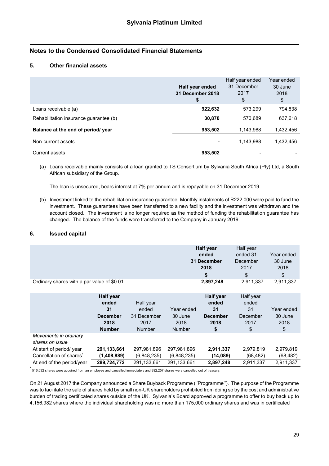### **5. Other financial assets**

|                                        | Half year ended<br>31 December 2018<br>\$ | Half year ended<br>31 December<br>2017<br>\$ | Year ended<br>30 June<br>2018<br>\$ |
|----------------------------------------|-------------------------------------------|----------------------------------------------|-------------------------------------|
| Loans receivable (a)                   | 922,632                                   | 573,299                                      | 794,838                             |
| Rehabilitation insurance guarantee (b) | 30,870                                    | 570,689                                      | 637,618                             |
| Balance at the end of period/ year     | 953,502                                   | 1,143,988                                    | 1,432,456                           |
| Non-current assets                     | ۰                                         | 1,143,988                                    | 1,432,456                           |
| Current assets                         | 953,502                                   |                                              |                                     |

(a) Loans receivable mainly consists of a loan granted to TS Consortium by Sylvania South Africa (Pty) Ltd, a South African subsidiary of the Group.

The loan is unsecured, bears interest at 7% per annum and is repayable on 31 December 2019.

(b) Investment linked to the rehabilitation insurance guarantee. Monthly instalments of R222 000 were paid to fund the investment. These guarantees have been transferred to a new facility and the investment was withdrawn and the account closed. The investment is no longer required as the method of funding the rehabilitation guarantee has changed. The balance of the funds were transferred to the Company in January 2019.

#### **6. Issued capital**

|                                            | <b>Half year</b> | Half year |            |
|--------------------------------------------|------------------|-----------|------------|
|                                            | ended            | ended 31  | Year ended |
|                                            | 31 December      | December  | 30 June    |
|                                            | 2018             | 2017      | 2018       |
|                                            |                  | \$        | \$         |
| Ordinary shares with a par value of \$0.01 | 2,897,248        | 2,911,337 | 2,911,337  |

|                                          | <b>Half year</b><br>ended | Half year     |               | Half year<br>ended | Half year<br>ended |            |
|------------------------------------------|---------------------------|---------------|---------------|--------------------|--------------------|------------|
|                                          | 31                        | ended         | Year ended    | 31                 | 31                 | Year ended |
|                                          | <b>December</b>           | 31 December   | 30 June       | <b>December</b>    | December           | 30 June    |
|                                          | 2018                      | 2017          | 2018          | 2018               | 2017               | 2018       |
|                                          | <b>Number</b>             | <b>Number</b> | <b>Number</b> | \$                 | \$                 | \$         |
| Movements in ordinary<br>shares on issue |                           |               |               |                    |                    |            |
| At start of period/year                  | 291,133,661               | 297,981,896   | 297,981,896   | 2,911,337          | 2,979,819          | 2,979,819  |
| Cancellation of shares*                  | (1,408,889)               | (6,848,235)   | (6,848,235)   | (14,089)           | (68,482)           | (68, 482)  |
| At end of the period/year                | 289,724,772               | 291,133,661   | 291,133,661   | 2,897,248          | 2.911.337          | 2,911,337  |

 $\tilde{ }$  516,632 shares were acquired from an employee and cancelled immediately and 892,257 shares were cancelled out of treasury.

On 21 August 2017 the Company announced a Share Buyback Programme (''Programme''). The purpose of the Programme was to facilitate the sale of shares held by small non-UK shareholders prohibited from doing so by the cost and administrative burden of trading certificated shares outside of the UK. Sylvania's Board approved a programme to offer to buy back up to 4,156,982 shares where the individual shareholding was no more than 175,000 ordinary shares and was in certificated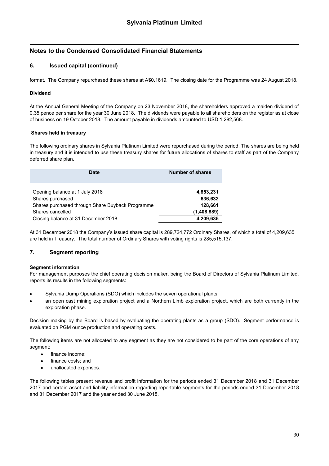### **6. Issued capital (continued)**

format. The Company repurchased these shares at A\$0.1619. The closing date for the Programme was 24 August 2018.

### **Dividend**

At the Annual General Meeting of the Company on 23 November 2018, the shareholders approved a maiden dividend of 0.35 pence per share for the year 30 June 2018. The dividends were payable to all shareholders on the register as at close of business on 19 October 2018. The amount payable in dividends amounted to USD 1,282,568.

#### **Shares held in treasury**

The following ordinary shares in Sylvania Platinum Limited were repurchased during the period. The shares are being held in treasury and it is intended to use these treasury shares for future allocations of shares to staff as part of the Company deferred share plan.

| Date                                             | <b>Number of shares</b> |  |
|--------------------------------------------------|-------------------------|--|
| Opening balance at 1 July 2018                   | 4,853,231               |  |
| Shares purchased                                 | 636,632                 |  |
| Shares purchased through Share Buyback Programme | 128,661                 |  |
| Shares cancelled                                 | (1,408,889)             |  |
| Closing balance at 31 December 2018              | 4,209,635               |  |

At 31 December 2018 the Company's issued share capital is 289,724,772 Ordinary Shares, of which a total of 4,209,635 are held in Treasury. The total number of Ordinary Shares with voting rights is 285,515,137.

### **7. Segment reporting**

#### **Segment information**

For management purposes the chief operating decision maker, being the Board of Directors of Sylvania Platinum Limited, reports its results in the following segments:

- Sylvania Dump Operations (SDO) which includes the seven operational plants;
- an open cast mining exploration project and a Northern Limb exploration project, which are both currently in the exploration phase.

Decision making by the Board is based by evaluating the operating plants as a group (SDO). Segment performance is evaluated on PGM ounce production and operating costs.

The following items are not allocated to any segment as they are not considered to be part of the core operations of any segment:

- finance income;
- finance costs; and
- unallocated expenses.

The following tables present revenue and profit information for the periods ended 31 December 2018 and 31 December 2017 and certain asset and liability information regarding reportable segments for the periods ended 31 December 2018 and 31 December 2017 and the year ended 30 June 2018.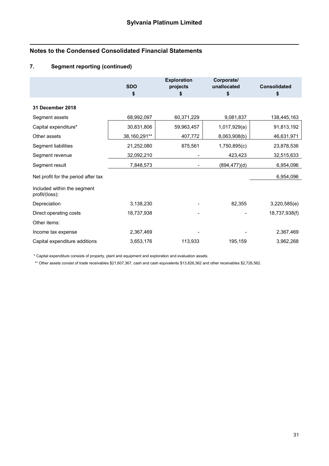# **7. Segment reporting (continued)**

|                                               | <b>SDO</b><br>\$ | <b>Exploration</b><br>projects<br>\$ | Corporate/<br>unallocated<br>\$ | <b>Consolidated</b><br>\$ |
|-----------------------------------------------|------------------|--------------------------------------|---------------------------------|---------------------------|
| 31 December 2018                              |                  |                                      |                                 |                           |
| Segment assets                                | 68,992,097       | 60,371,229                           | 9,081,837                       | 138,445,163               |
| Capital expenditure*                          | 30,831,806       | 59,963,457                           | 1,017,929(a)                    | 91,813,192                |
| Other assets                                  | 38,160,291**     | 407,772                              | 8,063,908(b)                    | 46,631,971                |
| Segment liabilities                           | 21,252,080       | 875,561                              | 1,750,895(c)                    | 23,878,536                |
| Segment revenue                               | 32,092,210       |                                      | 423,423                         | 32,515,633                |
| Segment result                                | 7,848,573        |                                      | (894,477)(d)                    | 6,954,096                 |
| Net profit for the period after tax           |                  |                                      |                                 | 6,954,096                 |
| Included within the segment<br>profit/(loss): |                  |                                      |                                 |                           |
| Depreciation                                  | 3,138,230        |                                      | 82,355                          | 3,220,585(e)              |
| Direct operating costs                        | 18,737,938       |                                      |                                 | 18,737,938(f)             |
| Other items:                                  |                  |                                      |                                 |                           |
| Income tax expense                            | 2,367,469        |                                      |                                 | 2,367,469                 |
| Capital expenditure additions                 | 3,653,176        | 113,933                              | 195,159                         | 3,962,268                 |

\* Capital expenditure consists of property, plant and equipment and exploration and evaluation assets.

\*\* Other assets consist of trade receivables \$21,607,367, cash and cash equivalents \$13,826,362 and other receivables \$2,726,562.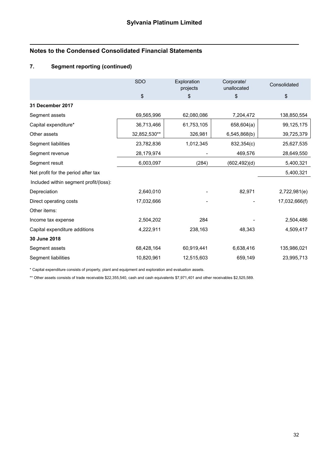# **7. Segment reporting (continued)**

|                                        | <b>SDO</b>   | Exploration | Corporate/    | Consolidated  |
|----------------------------------------|--------------|-------------|---------------|---------------|
|                                        |              | projects    | unallocated   |               |
|                                        | \$           | \$          | \$            | $\,$          |
| 31 December 2017                       |              |             |               |               |
| Segment assets                         | 69,565,996   | 62,080,086  | 7,204,472     | 138,850,554   |
| Capital expenditure*                   | 36,713,466   | 61,753,105  | 658,604(a)    | 99,125,175    |
| Other assets                           | 32,852,530** | 326,981     | 6,545,868(b)  | 39,725,379    |
| Segment liabilities                    | 23,782,836   | 1,012,345   | 832,354(c)    | 25,627,535    |
| Segment revenue                        | 28,179,974   |             | 469,576       | 28,649,550    |
| Segment result                         | 6,003,097    | (284)       | (602, 492)(d) | 5,400,321     |
| Net profit for the period after tax    |              |             |               | 5,400,321     |
| Included within segment profit/(loss): |              |             |               |               |
| Depreciation                           | 2,640,010    |             | 82,971        | 2,722,981(e)  |
| Direct operating costs                 | 17,032,666   |             |               | 17,032,666(f) |
| Other items:                           |              |             |               |               |
| Income tax expense                     | 2,504,202    | 284         |               | 2,504,486     |
| Capital expenditure additions          | 4,222,911    | 238,163     | 48,343        | 4,509,417     |
| 30 June 2018                           |              |             |               |               |
| Segment assets                         | 68,428,164   | 60,919,441  | 6,638,416     | 135,986,021   |
| Segment liabilities                    | 10,820,961   | 12,515,603  | 659,149       | 23,995,713    |

\* Capital expenditure consists of property, plant and equipment and exploration and evaluation assets.

\*\* Other assets consists of trade receivable \$22,355,540, cash and cash equivalents \$7,971,401 and other receivables \$2,525,589.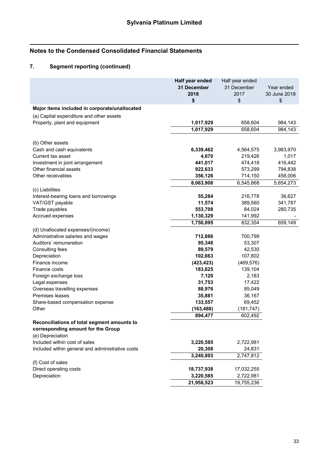# **7. Segment reporting (continued)**

|                                                        | Half year ended | Half year ended |              |
|--------------------------------------------------------|-----------------|-----------------|--------------|
|                                                        | 31 December     | 31 December     | Year ended   |
|                                                        | 2018            | 2017            | 30 June 2018 |
|                                                        | \$              | \$              | \$           |
| Major items included in corporate/unallocated          |                 |                 |              |
| (a) Capital expenditure and other assets               |                 |                 |              |
| Property, plant and equipment                          | 1,017,929       | 658,604         | 984,143      |
|                                                        | 1,017,929       | 658,604         | 984,143      |
|                                                        |                 |                 |              |
| (b) Other assets                                       |                 |                 |              |
| Cash and cash equivalents                              | 6,339,462       | 4,564,575       | 3,983,970    |
| Current tax asset                                      | 4,670           | 219,426         | 1,017        |
| Investment in joint arrangement                        | 441,017         | 474,418         | 416,442      |
| Other financial assets                                 | 922,633         | 573,299         | 794,838      |
| Other receivables                                      | 356,126         | 714,150         | 458,006      |
|                                                        | 8,063,908       | 6,545,868       | 5,654,273    |
| (c) Liabilities                                        |                 |                 |              |
| Interest-bearing loans and borrowings                  | 55,284          | 216,778         | 36,627       |
| VAT/GST payable                                        | 11,574          | 389,560         | 341,787      |
| Trade payables                                         | 553,708         | 84,024          | 280,735      |
| Accrued expenses                                       | 1,130,329       | 141,992         |              |
|                                                        | 1,750,895       | 832,354         | 659,149      |
| (d) Unallocated expenses/(income)                      |                 |                 |              |
| Administrative salaries and wages                      | 712,886         | 700,799         |              |
| Auditors' remuneration                                 | 95,348          | 53,307          |              |
| Consulting fees                                        | 89,579          | 42,530          |              |
| Depreciation                                           | 102,663         | 107,802         |              |
| Finance income                                         | (423, 423)      | (469, 576)      |              |
| Finance costs                                          | 183,625         | 139,104         |              |
| Foreign exchange loss                                  | 7,120           | 2,183           |              |
|                                                        | 31,753          | 17,422          |              |
| Legal expenses                                         |                 |                 |              |
| Overseas travelling expenses<br>Premises leases        | 88,976          | 85,049          |              |
|                                                        | 35,881          | 36,167          |              |
| Share-based compensation expense                       | 133,557         | 69,452          |              |
| Other                                                  | (163, 488)      | (181, 747)      |              |
|                                                        | 894,477         | 602,492         |              |
| Reconciliations of total segment amounts to            |                 |                 |              |
| corresponding amount for the Group<br>(e) Depreciation |                 |                 |              |
|                                                        |                 |                 |              |
| Included within cost of sales                          | 3,220,585       | 2,722,981       |              |
| Included within general and administrative costs       | 20,308          | 24,831          |              |
|                                                        | 3,240,893       | 2,747,812       |              |
| (f) Cost of sales                                      |                 |                 |              |
| Direct operating costs                                 | 18,737,938      | 17,032,255      |              |
| Depreciation                                           | 3,220,585       | 2,722,981       |              |
|                                                        | 21,958,523      | 19,755,236      |              |